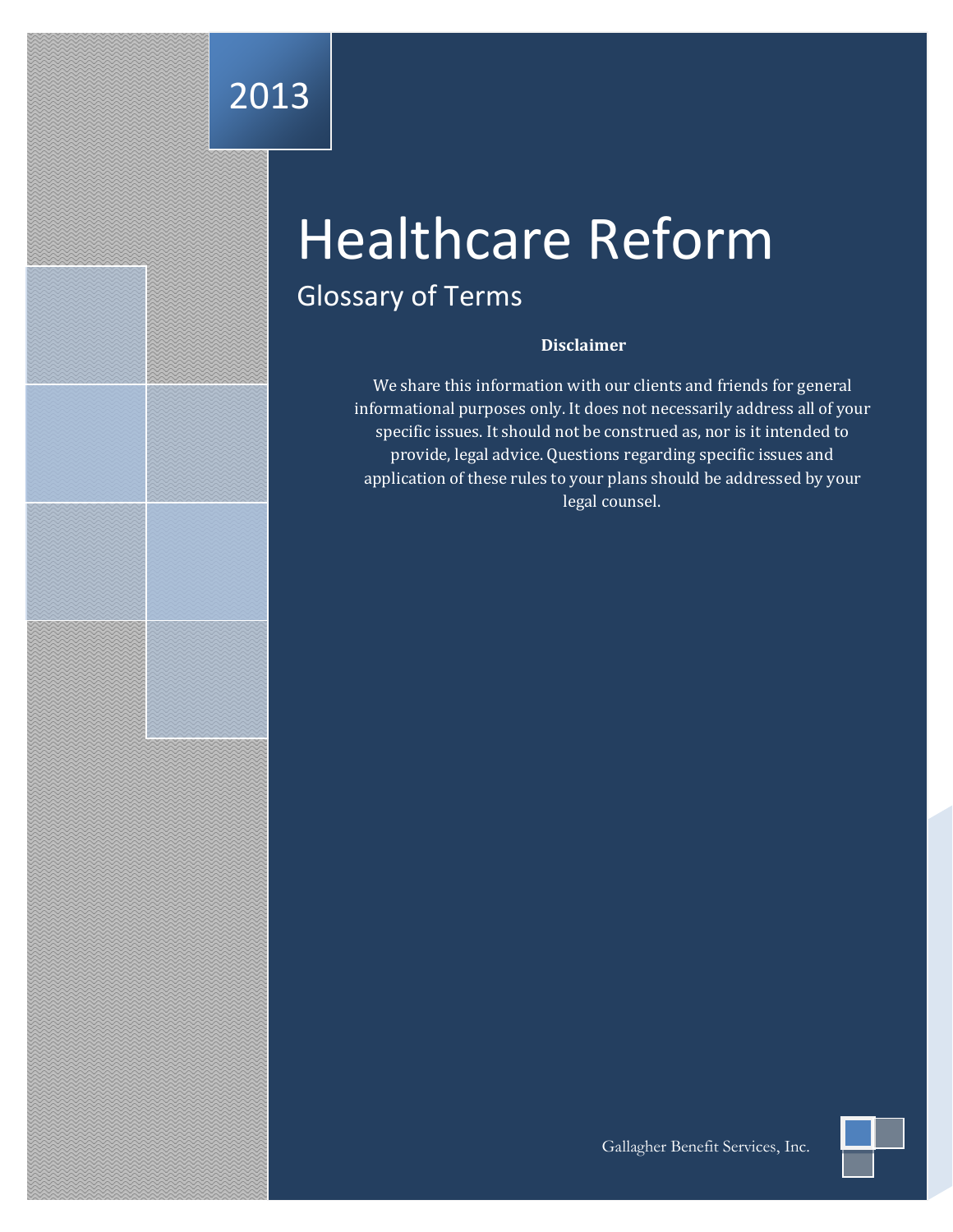## 2013

# Healthcare Reform

## Glossary of Terms

#### **Disclaimer**

We share this information with our clients and friends for general informational purposes only. It does not necessarily address all of your specific issues. It should not be construed as, nor is it intended to provide, legal advice. Questions regarding specific issues and application of these rules to your plans should be addressed by your legal counsel.

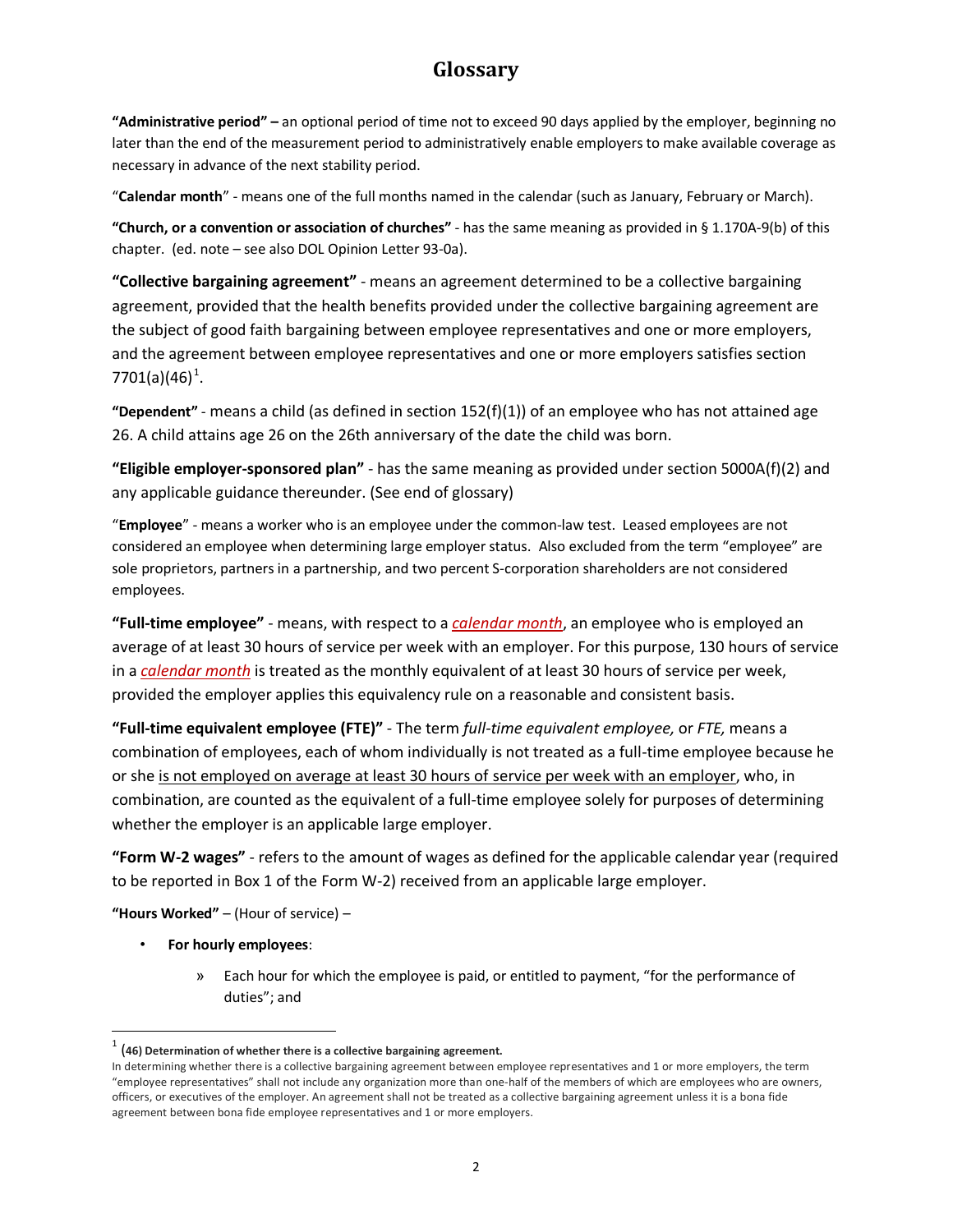**"Administrative period" –** an optional period of time not to exceed 90 days applied by the employer, beginning no later than the end of the measurement period to administratively enable employers to make available coverage as necessary in advance of the next stability period.

"**Calendar month**" - means one of the full months named in the calendar (such as January, February or March).

**"Church, or a convention or association of churches"** - has the same meaning as provided in § 1.170A-9(b) of this chapter. (ed. note – see also DOL Opinion Letter 93-0a).

**"Collective bargaining agreement"** - means an agreement determined to be a collective bargaining agreement, provided that the health benefits provided under the collective bargaining agreement are the subject of good faith bargaining between employee representatives and one or more employers, and the agreement between employee representatives and one or more employers satisfies section 770[1](#page-1-0)(a)(46)<sup>1</sup>.

**"Dependent"** - means a child (as defined in section 152(f)(1)) of an employee who has not attained age 26. A child attains age 26 on the 26th anniversary of the date the child was born.

**"Eligible employer-sponsored plan"** - has the same meaning as provided under section 5000A(f)(2) and any applicable guidance thereunder. (See end of glossary)

"**Employee**" - means a worker who is an employee under the common-law test. Leased employees are not considered an employee when determining large employer status. Also excluded from the term "employee" are sole proprietors, partners in a partnership, and two percent S-corporation shareholders are not considered employees.

**"Full-time employee"** - means, with respect to a *calendar month*, an employee who is employed an average of at least 30 hours of service per week with an employer. For this purpose, 130 hours of service in a *calendar month* is treated as the monthly equivalent of at least 30 hours of service per week, provided the employer applies this equivalency rule on a reasonable and consistent basis.

**"Full-time equivalent employee (FTE)"** - The term *full-time equivalent employee,* or *FTE,* means a combination of employees, each of whom individually is not treated as a full-time employee because he or she is not employed on average at least 30 hours of service per week with an employer, who, in combination, are counted as the equivalent of a full-time employee solely for purposes of determining whether the employer is an applicable large employer.

**"Form W-2 wages"** - refers to the amount of wages as defined for the applicable calendar year (required to be reported in Box 1 of the Form W-2) received from an applicable large employer.

**"Hours Worked"** – (Hour of service) –

- **For hourly employees**:
	- » Each hour for which the employee is paid, or entitled to payment, "for the performance of duties"; and

<span id="page-1-0"></span> <sup>1</sup> (**46) Determination of whether there is a collective bargaining agreement.**

In determining whether there is a collective bargaining agreement between employee representatives and 1 or more employers, the term "employee representatives" shall not include any organization more than one-half of the members of which are employees who are owners, officers, or executives of the employer. An agreement shall not be treated as a collective bargaining agreement unless it is a bona fide agreement between bona fide employee representatives and 1 or more employers.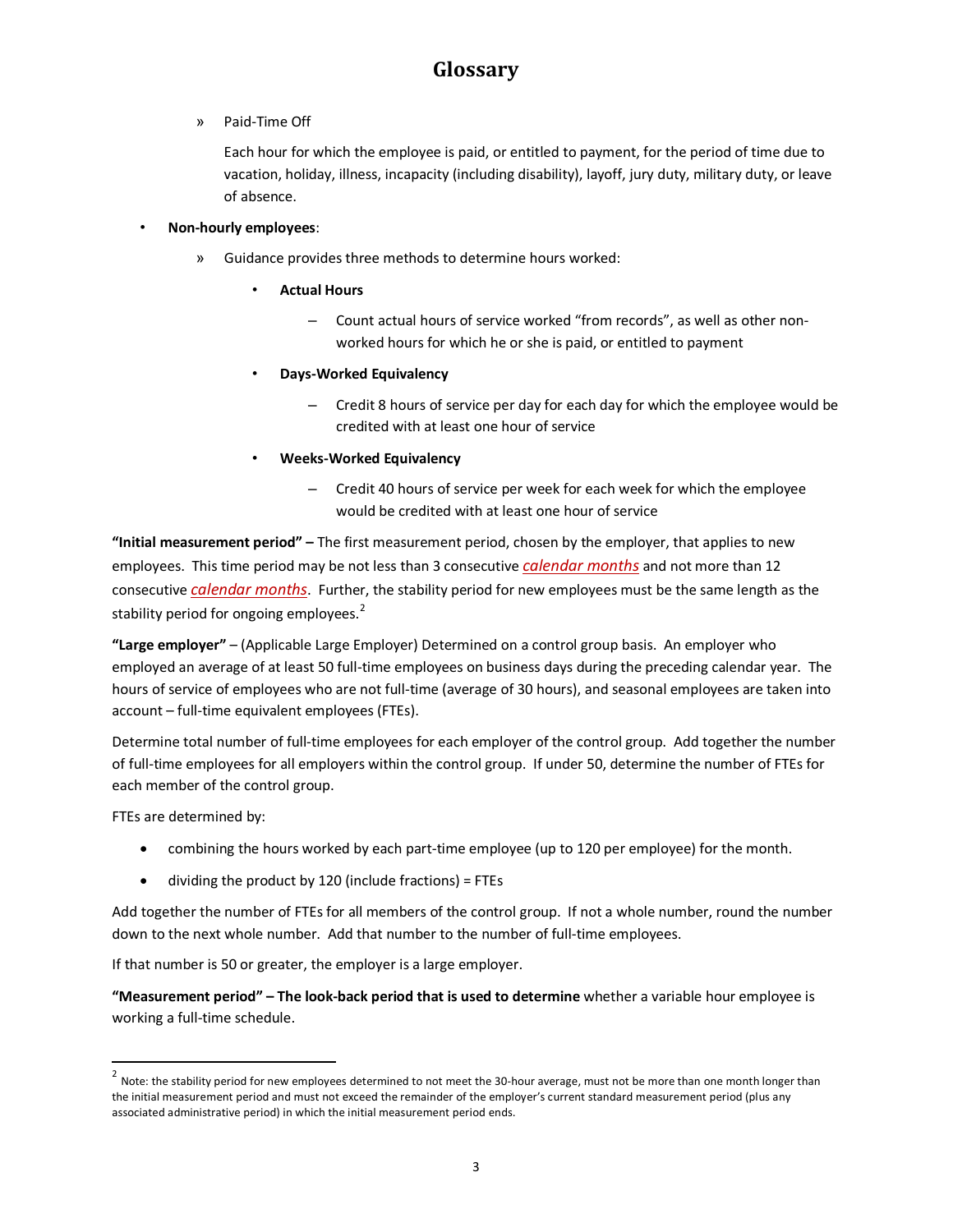» Paid-Time Off

Each hour for which the employee is paid, or entitled to payment, for the period of time due to vacation, holiday, illness, incapacity (including disability), layoff, jury duty, military duty, or leave of absence.

#### • **Non-hourly employees**:

- » Guidance provides three methods to determine hours worked:
	- **Actual Hours**
		- Count actual hours of service worked "from records", as well as other nonworked hours for which he or she is paid, or entitled to payment
	- **Days-Worked Equivalency** 
		- Credit 8 hours of service per day for each day for which the employee would be credited with at least one hour of service
	- **Weeks-Worked Equivalency** 
		- Credit 40 hours of service per week for each week for which the employee would be credited with at least one hour of service

**"Initial measurement period" –** The first measurement period, chosen by the employer, that applies to new employees. This time period may be not less than 3 consecutive *calendar months* and not more than 12 consecutive *calendar months*. Further, the stability period for new employees must be the same length as the stability period for ongoing employees.<sup>[2](#page-2-0)</sup>

**"Large employer"** – (Applicable Large Employer) Determined on a control group basis. An employer who employed an average of at least 50 full-time employees on business days during the preceding calendar year. The hours of service of employees who are not full-time (average of 30 hours), and seasonal employees are taken into account – full-time equivalent employees (FTEs).

Determine total number of full-time employees for each employer of the control group. Add together the number of full-time employees for all employers within the control group. If under 50, determine the number of FTEs for each member of the control group.

FTEs are determined by:

- combining the hours worked by each part-time employee (up to 120 per employee) for the month.
- dividing the product by 120 (include fractions) = FTEs

Add together the number of FTEs for all members of the control group. If not a whole number, round the number down to the next whole number. Add that number to the number of full-time employees.

If that number is 50 or greater, the employer is a large employer.

**"Measurement period" – The look-back period that is used to determine** whether a variable hour employee is working a full-time schedule.

<span id="page-2-0"></span><sup>&</sup>lt;sup>2</sup> Note: the stability period for new employees determined to not meet the 30-hour average, must not be more than one month longer than the initial measurement period and must not exceed the remainder of the employer's current standard measurement period (plus any associated administrative period) in which the initial measurement period ends.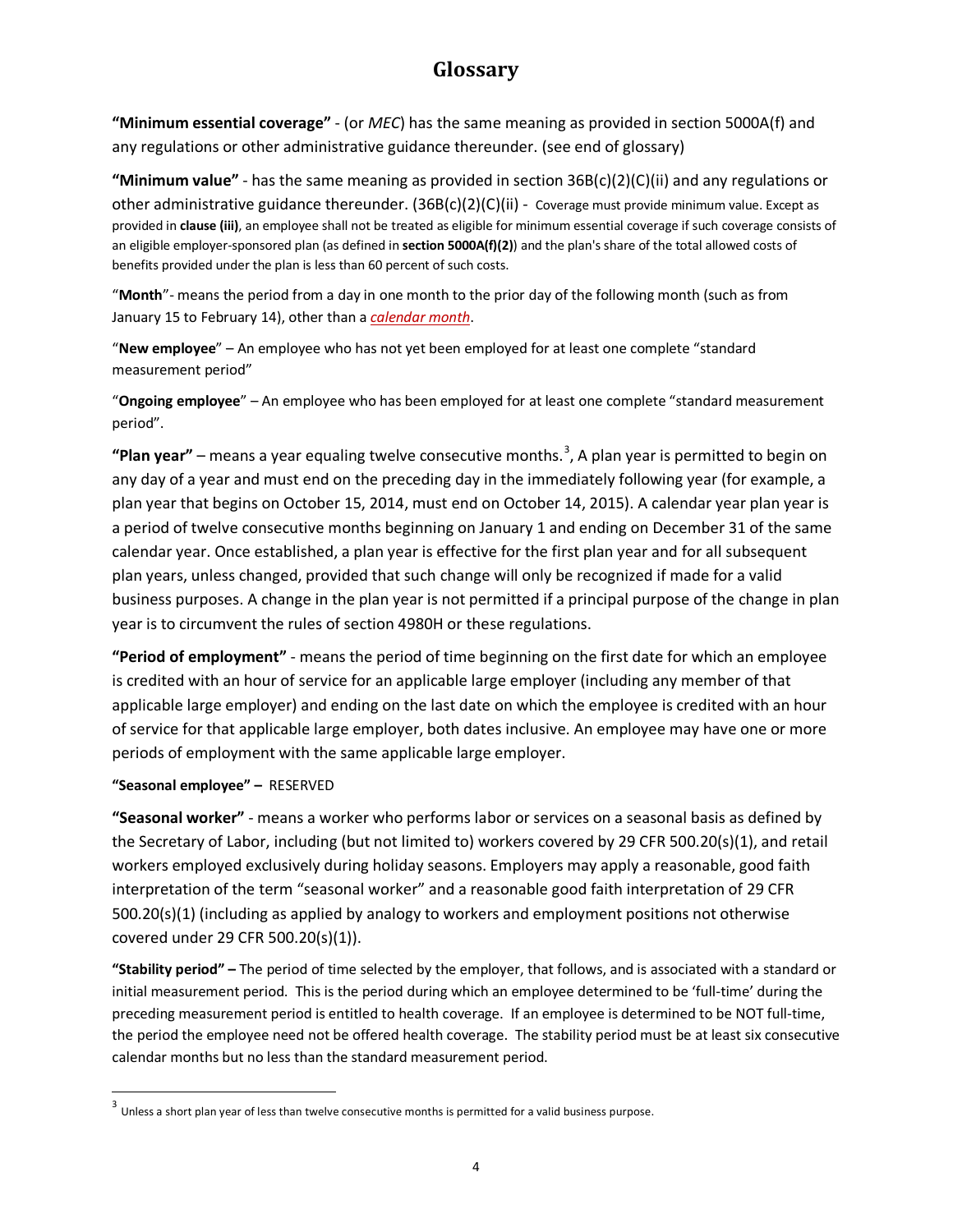**"Minimum essential coverage"** - (or *MEC*) has the same meaning as provided in section 5000A(f) and any regulations or other administrative guidance thereunder. (see end of glossary)

**"Minimum value"** - has the same meaning as provided in section 36B(c)(2)(C)(ii) and any regulations or other administrative guidance thereunder. (36B(c)(2)(C)(ii) - Coverage must provide minimum value. Except as provided in **[clause \(iii\)](https://checkpoint.riag.com/app/main/docLinkNew?DocID=i5322511c3e8f11df9e640a48868caa77&SrcDocId=T0TCODE%3A42740.1dr19&feature=tcheckpoint&lastCpReqId=3661163&pinpnt=TCODE%3A42749.25&d=d#TCODE:42749.25)**, an employee shall not be treated as eligible for minimum essential coverage if such coverage consists of an eligible employer-sponsored plan (as defined in **[section 5000A\(f\)\(2\)](https://checkpoint.riag.com/app/main/docLinkNew?DocID=ib88889d436c611dfbc4d0a48868caa77&SrcDocId=T0TCODE%3A42740.1dr19&feature=tcheckpoint&lastCpReqId=3661163&pinpnt=TCODE%3A42256.1&d=d#TCODE:42256.1)**) and the plan's share of the total allowed costs of benefits provided under the plan is less than 60 percent of such costs.

"**Month**"- means the period from a day in one month to the prior day of the following month (such as from January 15 to February 14), other than a *calendar month*.

"**New employee**" – An employee who has not yet been employed for at least one complete "standard measurement period"

"**Ongoing employee**" – An employee who has been employed for at least one complete "standard measurement period".

"Plan year" – means a year equaling twelve consecutive months.<sup>[3](#page-3-0)</sup>, A plan year is permitted to begin on any day of a year and must end on the preceding day in the immediately following year (for example, a plan year that begins on October 15, 2014, must end on October 14, 2015). A calendar year plan year is a period of twelve consecutive months beginning on January 1 and ending on December 31 of the same calendar year. Once established, a plan year is effective for the first plan year and for all subsequent plan years, unless changed, provided that such change will only be recognized if made for a valid business purposes. A change in the plan year is not permitted if a principal purpose of the change in plan year is to circumvent the rules of section 4980H or these regulations.

**"Period of employment"** - means the period of time beginning on the first date for which an employee is credited with an hour of service for an applicable large employer (including any member of that applicable large employer) and ending on the last date on which the employee is credited with an hour of service for that applicable large employer, both dates inclusive. An employee may have one or more periods of employment with the same applicable large employer.

#### **"Seasonal employee" –** RESERVED

**"Seasonal worker"** - means a worker who performs labor or services on a seasonal basis as defined by the Secretary of Labor, including (but not limited to) workers covered by 29 CFR 500.20(s)(1), and retail workers employed exclusively during holiday seasons. Employers may apply a reasonable, good faith interpretation of the term "seasonal worker" and a reasonable good faith interpretation of 29 CFR 500.20(s)(1) (including as applied by analogy to workers and employment positions not otherwise covered under 29 CFR 500.20(s)(1)).

**"Stability period" –** The period of time selected by the employer, that follows, and is associated with a standard or initial measurement period. This is the period during which an employee determined to be 'full-time' during the preceding measurement period is entitled to health coverage. If an employee is determined to be NOT full-time, the period the employee need not be offered health coverage. The stability period must be at least six consecutive calendar months but no less than the standard measurement period.

<span id="page-3-0"></span> $3$  Unless a short plan year of less than twelve consecutive months is permitted for a valid business purpose.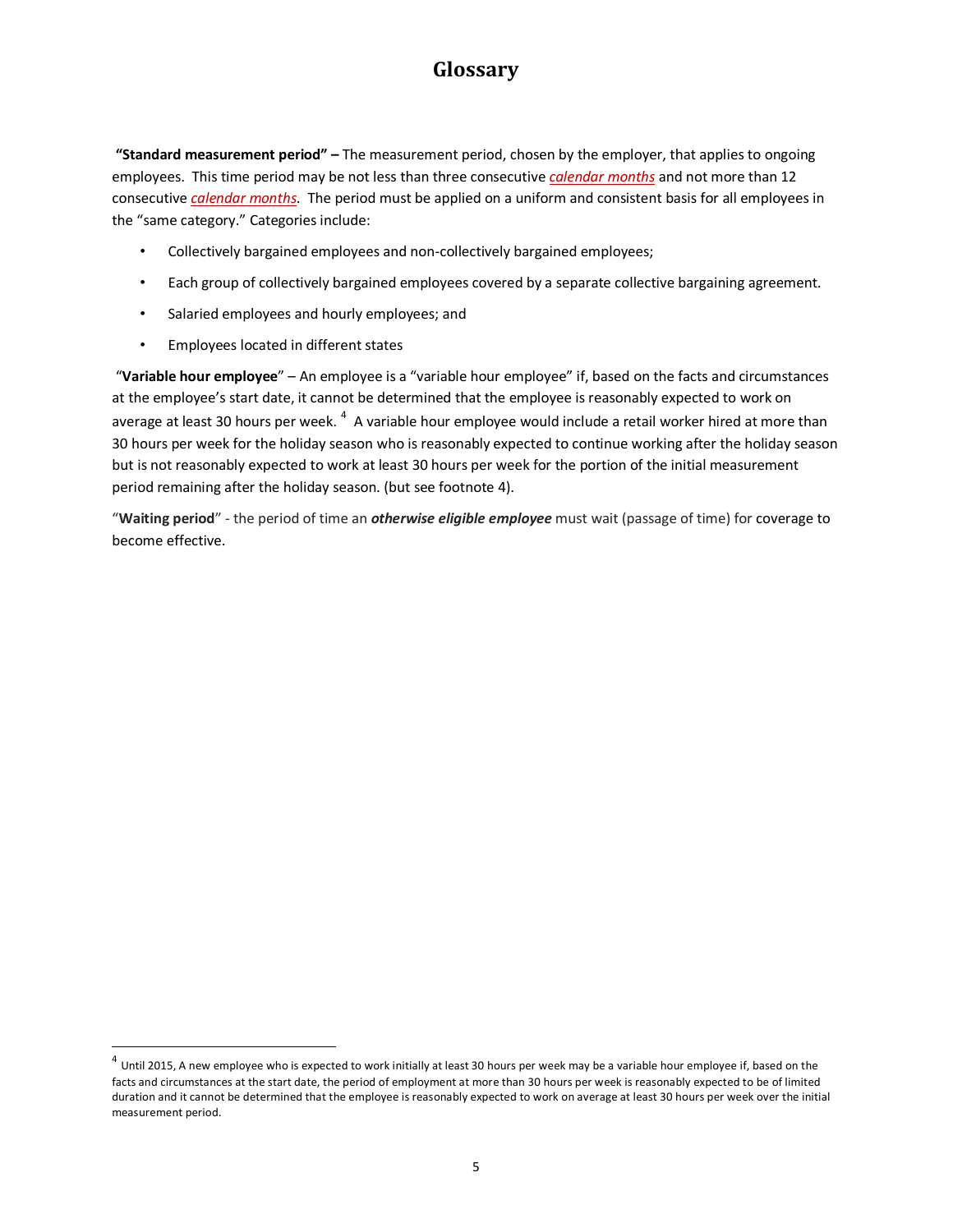**"Standard measurement period" –** The measurement period, chosen by the employer, that applies to ongoing employees. This time period may be not less than three consecutive *calendar months* and not more than 12 consecutive *calendar months*. The period must be applied on a uniform and consistent basis for all employees in the "same category." Categories include:

- Collectively bargained employees and non-collectively bargained employees;
- Each group of collectively bargained employees covered by a separate collective bargaining agreement.
- Salaried employees and hourly employees; and
- Employees located in different states

"**Variable hour employee**" – An employee is a "variable hour employee" if, based on the facts and circumstances at the employee's start date, it cannot be determined that the employee is reasonably expected to work on average at least 30 hours per week.  $^4\,$  $^4\,$  $^4\,$  A variable hour employee would include a retail worker hired at more than 30 hours per week for the holiday season who is reasonably expected to continue working after the holiday season but is not reasonably expected to work at least 30 hours per week for the portion of the initial measurement period remaining after the holiday season. (but see footnote 4).

"**Waiting period**" - the period of time an *otherwise eligible employee* must wait (passage of time) for coverage to become effective.

<span id="page-4-0"></span> $^4$  Until 2015, A new employee who is expected to work initially at least 30 hours per week may be a variable hour employee if, based on the facts and circumstances at the start date, the period of employment at more than 30 hours per week is reasonably expected to be of limited duration and it cannot be determined that the employee is reasonably expected to work on average at least 30 hours per week over the initial measurement period.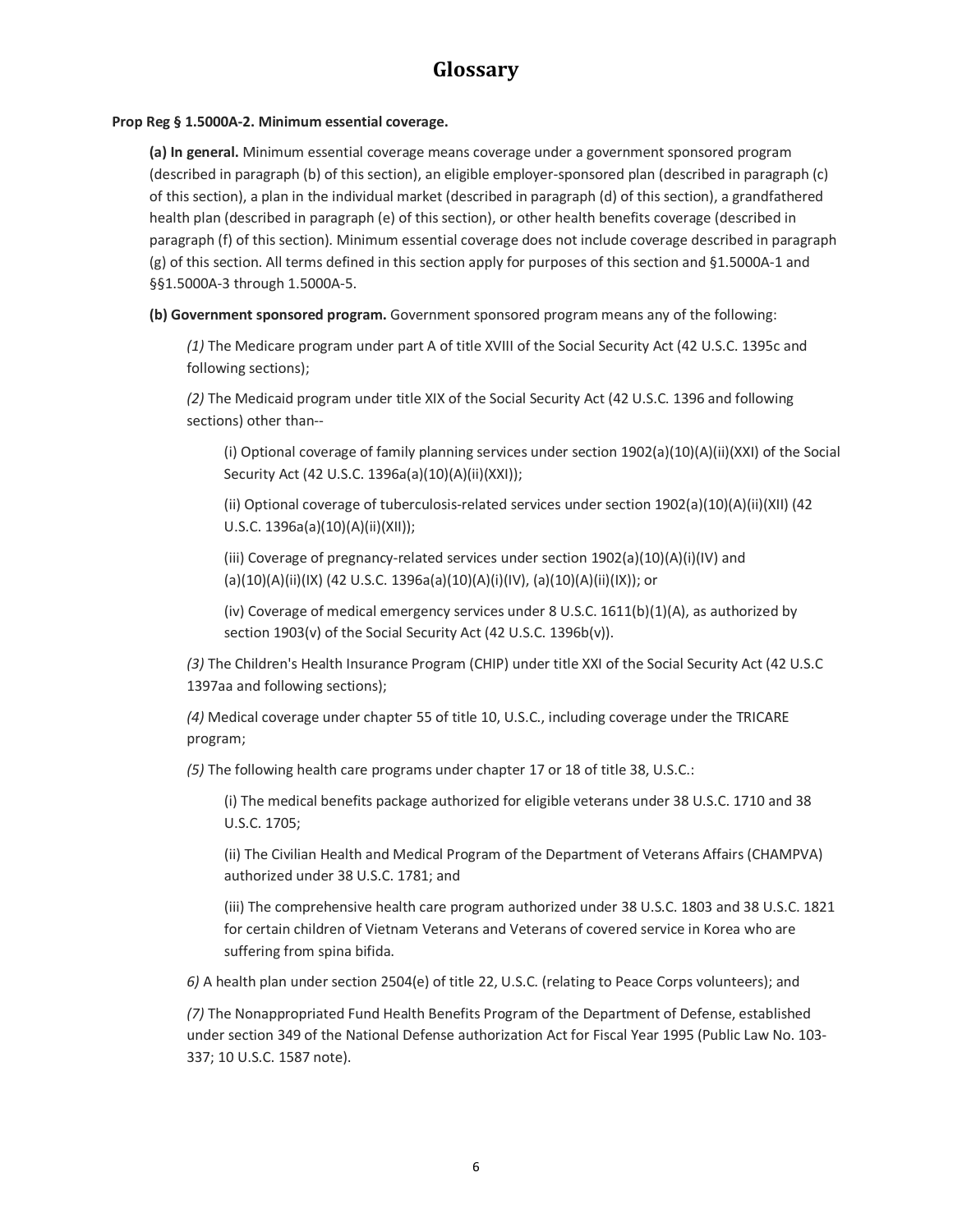#### **Prop Reg § 1.5000A-2. Minimum essential coverage.**

**(a) In general.** Minimum essential coverage means coverage under a government sponsored program (described in paragraph (b) of this section), an eligible employer-sponsored plan (described in paragraph (c) of this section), a plan in the individual market (described in paragraph (d) of this section), a grandfathered health plan (described in paragraph (e) of this section), or other health benefits coverage (described in paragraph (f) of this section). Minimum essential coverage does not include coverage described in paragraph (g) of this section. All terms defined in this section apply for purposes of this section and §1.5000A-1 and §§1.5000A-3 through 1.5000A-5.

**(b) Government sponsored program.** Government sponsored program means any of the following:

*(1)* The Medicare program under part A of title XVIII of the Social Security Act (42 U.S.C. 1395c and following sections);

*(2)* The Medicaid program under title XIX of the Social Security Act (42 U.S.C. 1396 and following sections) other than--

(i) Optional coverage of family planning services under section 1902(a)(10)(A)(ii)(XXI) of the Social Security Act (42 U.S.C. 1396a(a)(10)(A)(ii)(XXI));

(ii) Optional coverage of tuberculosis-related services under section 1902(a)(10)(A)(ii)(XII) (42 U.S.C. 1396a(a)(10)(A)(ii)(XII));

(iii) Coverage of pregnancy-related services under section  $1902(a)(10)(A)(i)(IV)$  and (a)(10)(A)(ii)(IX) (42 U.S.C. 1396a(a)(10)(A)(i)(IV), (a)(10)(A)(ii)(IX)); or

(iv) Coverage of medical emergency services under 8 U.S.C.  $1611(b)(1)(A)$ , as authorized by section 1903(v) of the Social Security Act (42 U.S.C. 1396b(v)).

*(3)* The Children's Health Insurance Program (CHIP) under title XXI of the Social Security Act (42 U.S.C 1397aa and following sections);

*(4)* Medical coverage under chapter 55 of title 10, U.S.C., including coverage under the TRICARE program;

*(5)* The following health care programs under chapter 17 or 18 of title 38, U.S.C.:

(i) The medical benefits package authorized for eligible veterans under 38 U.S.C. 1710 and 38 U.S.C. 1705;

(ii) The Civilian Health and Medical Program of the Department of Veterans Affairs (CHAMPVA) authorized under 38 U.S.C. 1781; and

(iii) The comprehensive health care program authorized under 38 U.S.C. 1803 and 38 U.S.C. 1821 for certain children of Vietnam Veterans and Veterans of covered service in Korea who are suffering from spina bifida.

*6)* A health plan under section 2504(e) of title 22, U.S.C. (relating to Peace Corps volunteers); and

*(7)* The Nonappropriated Fund Health Benefits Program of the Department of Defense, established under section 349 of the National Defense authorization Act for Fiscal Year 1995 (Public Law No. 103- 337; 10 U.S.C. 1587 note).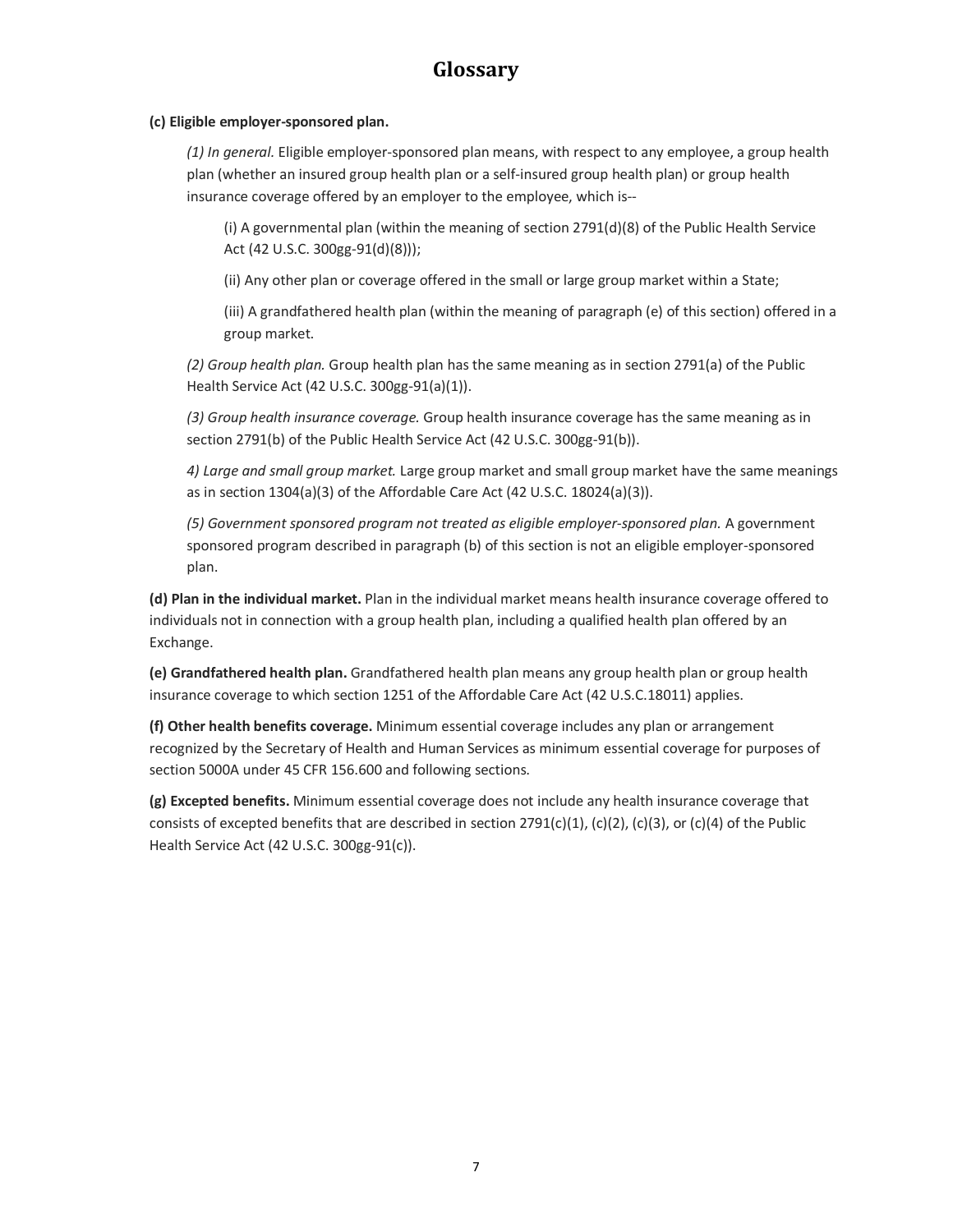#### **(c) Eligible employer-sponsored plan.**

*(1) In general.* Eligible employer-sponsored plan means, with respect to any employee, a group health plan (whether an insured group health plan or a self-insured group health plan) or group health insurance coverage offered by an employer to the employee, which is--

(i) A governmental plan (within the meaning of section 2791(d)(8) of the Public Health Service Act (42 U.S.C. 300gg-91(d)(8)));

(ii) Any other plan or coverage offered in the small or large group market within a State;

(iii) A grandfathered health plan (within the meaning of paragraph (e) of this section) offered in a group market.

*(2) Group health plan.* Group health plan has the same meaning as in section 2791(a) of the Public Health Service Act (42 U.S.C. 300gg-91(a)(1)).

*(3) Group health insurance coverage.* Group health insurance coverage has the same meaning as in section 2791(b) of the Public Health Service Act (42 U.S.C. 300gg-91(b)).

*4) Large and small group market.* Large group market and small group market have the same meanings as in section 1304(a)(3) of the Affordable Care Act (42 U.S.C. 18024(a)(3)).

*(5) Government sponsored program not treated as eligible employer-sponsored plan.* A government sponsored program described in paragraph (b) of this section is not an eligible employer-sponsored plan.

**(d) Plan in the individual market.** Plan in the individual market means health insurance coverage offered to individuals not in connection with a group health plan, including a qualified health plan offered by an Exchange.

**(e) Grandfathered health plan.** Grandfathered health plan means any group health plan or group health insurance coverage to which section 1251 of the Affordable Care Act (42 U.S.C.18011) applies.

**(f) Other health benefits coverage.** Minimum essential coverage includes any plan or arrangement recognized by the Secretary of Health and Human Services as minimum essential coverage for purposes of section 5000A under 45 CFR 156.600 and following sections.

**(g) Excepted benefits.** Minimum essential coverage does not include any health insurance coverage that consists of excepted benefits that are described in section  $2791(c)(1)$ ,  $(c)(2)$ ,  $(c)(3)$ , or  $(c)(4)$  of the Public Health Service Act (42 U.S.C. 300gg-91(c)).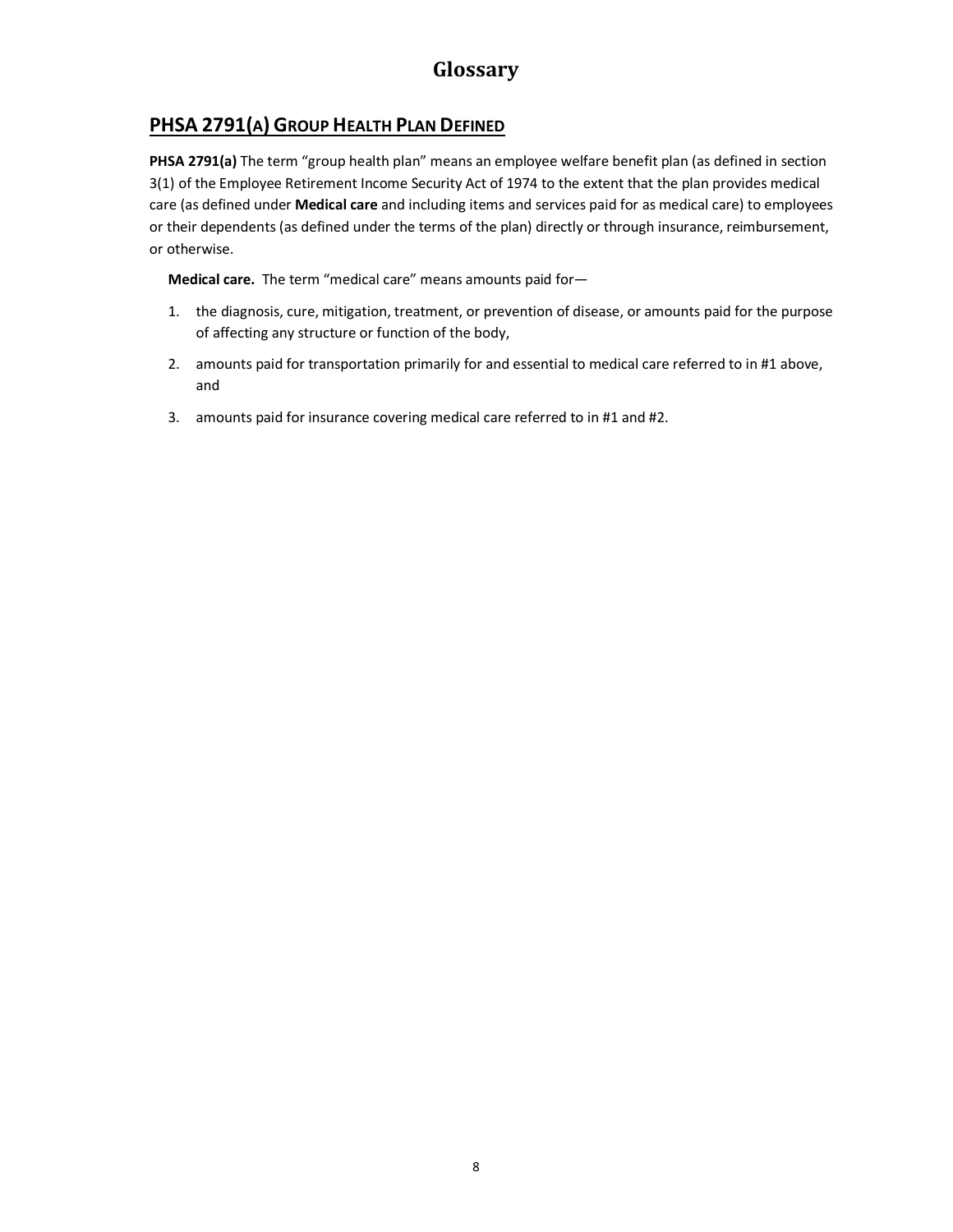### **PHSA 2791(A) GROUP HEALTH PLAN DEFINED**

**PHSA 2791(a)** The term "group health plan" means an employee welfare benefit plan (as defined in section 3(1) of the Employee Retirement Income Security Act of 1974 to the extent that the plan provides medical care (as defined under **Medical care** and including items and services paid for as medical care) to employees or their dependents (as defined under the terms of the plan) directly or through insurance, reimbursement, or otherwise.

**Medical care.** The term "medical care" means amounts paid for—

- 1. the diagnosis, cure, mitigation, treatment, or prevention of disease, or amounts paid for the purpose of affecting any structure or function of the body,
- 2. amounts paid for transportation primarily for and essential to medical care referred to in #1 above, and
- 3. amounts paid for insurance covering medical care referred to in #1 and #2.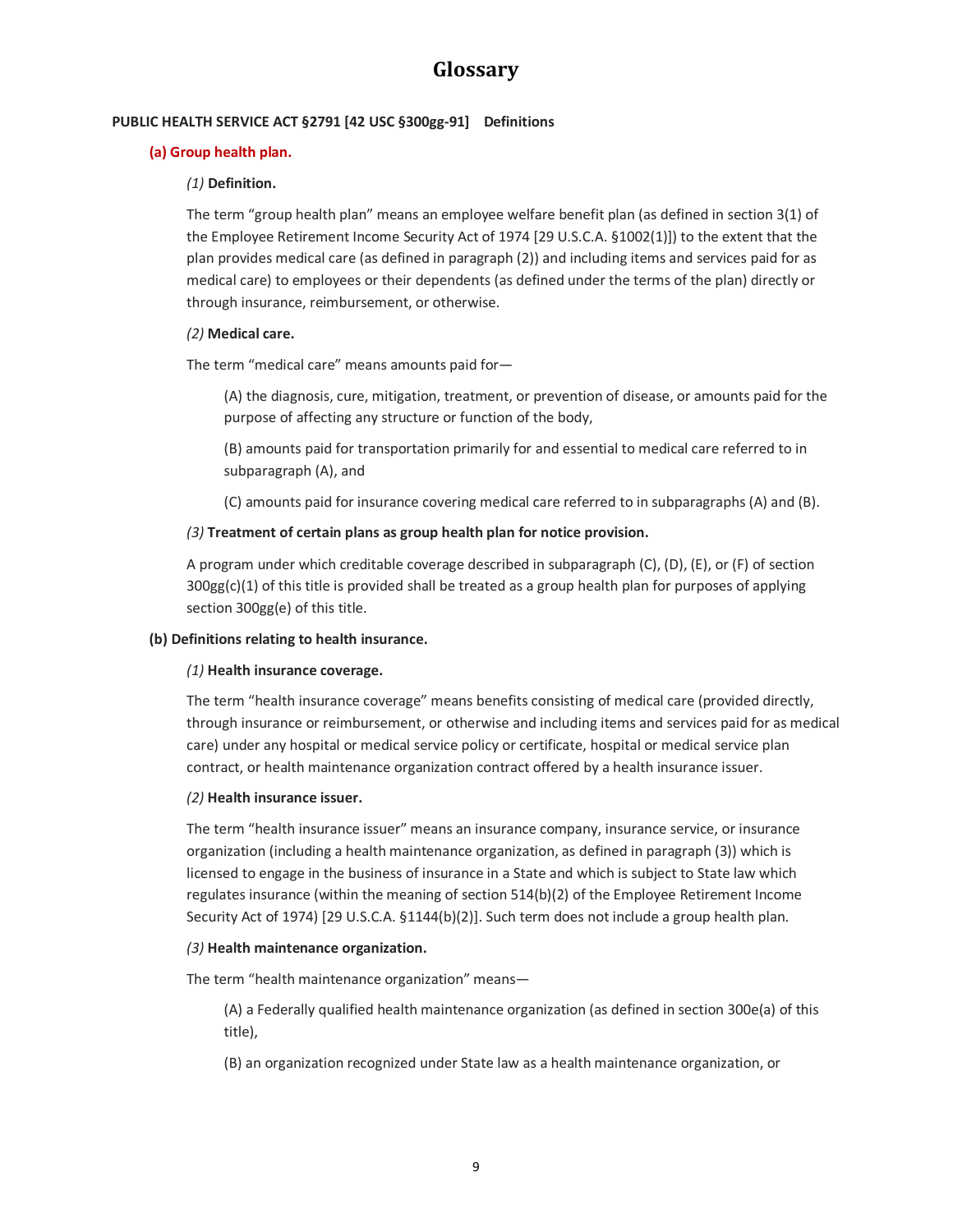#### **PUBLIC HEALTH SERVICE ACT §2791 [42 USC §300gg-91] Definitions**

#### **(a) Group health plan.**

#### *(1)* **Definition.**

The term "group health plan" means an employee welfare benefit plan (as defined in section 3(1) of the Employee Retirement Income Security Act of 1974 [29 U.S.C.A. §1002(1)]) to the extent that the plan provides medical care (as defined in paragraph (2)) and including items and services paid for as medical care) to employees or their dependents (as defined under the terms of the plan) directly or through insurance, reimbursement, or otherwise.

#### *(2)* **Medical care.**

The term "medical care" means amounts paid for—

(A) the diagnosis, cure, mitigation, treatment, or prevention of disease, or amounts paid for the purpose of affecting any structure or function of the body,

(B) amounts paid for transportation primarily for and essential to medical care referred to in subparagraph (A), and

(C) amounts paid for insurance covering medical care referred to in subparagraphs (A) and (B).

#### *(3)* **Treatment of certain plans as group health plan for notice provision.**

A program under which creditable coverage described in subparagraph (C), (D), (E), or (F) of section 300gg(c)(1) of this title is provided shall be treated as a group health plan for purposes of applying section 300gg(e) of this title.

#### **(b) Definitions relating to health insurance.**

#### *(1)* **Health insurance coverage.**

The term "health insurance coverage" means benefits consisting of medical care (provided directly, through insurance or reimbursement, or otherwise and including items and services paid for as medical care) under any hospital or medical service policy or certificate, hospital or medical service plan contract, or health maintenance organization contract offered by a health insurance issuer.

#### *(2)* **Health insurance issuer.**

The term "health insurance issuer" means an insurance company, insurance service, or insurance organization (including a health maintenance organization, as defined in paragraph (3)) which is licensed to engage in the business of insurance in a State and which is subject to State law which regulates insurance (within the meaning of section 514(b)(2) of the Employee Retirement Income Security Act of 1974) [29 U.S.C.A. §1144(b)(2)]. Such term does not include a group health plan.

#### *(3)* **Health maintenance organization.**

The term "health maintenance organization" means—

(A) a Federally qualified health maintenance organization (as defined in section 300e(a) of this title),

(B) an organization recognized under State law as a health maintenance organization, or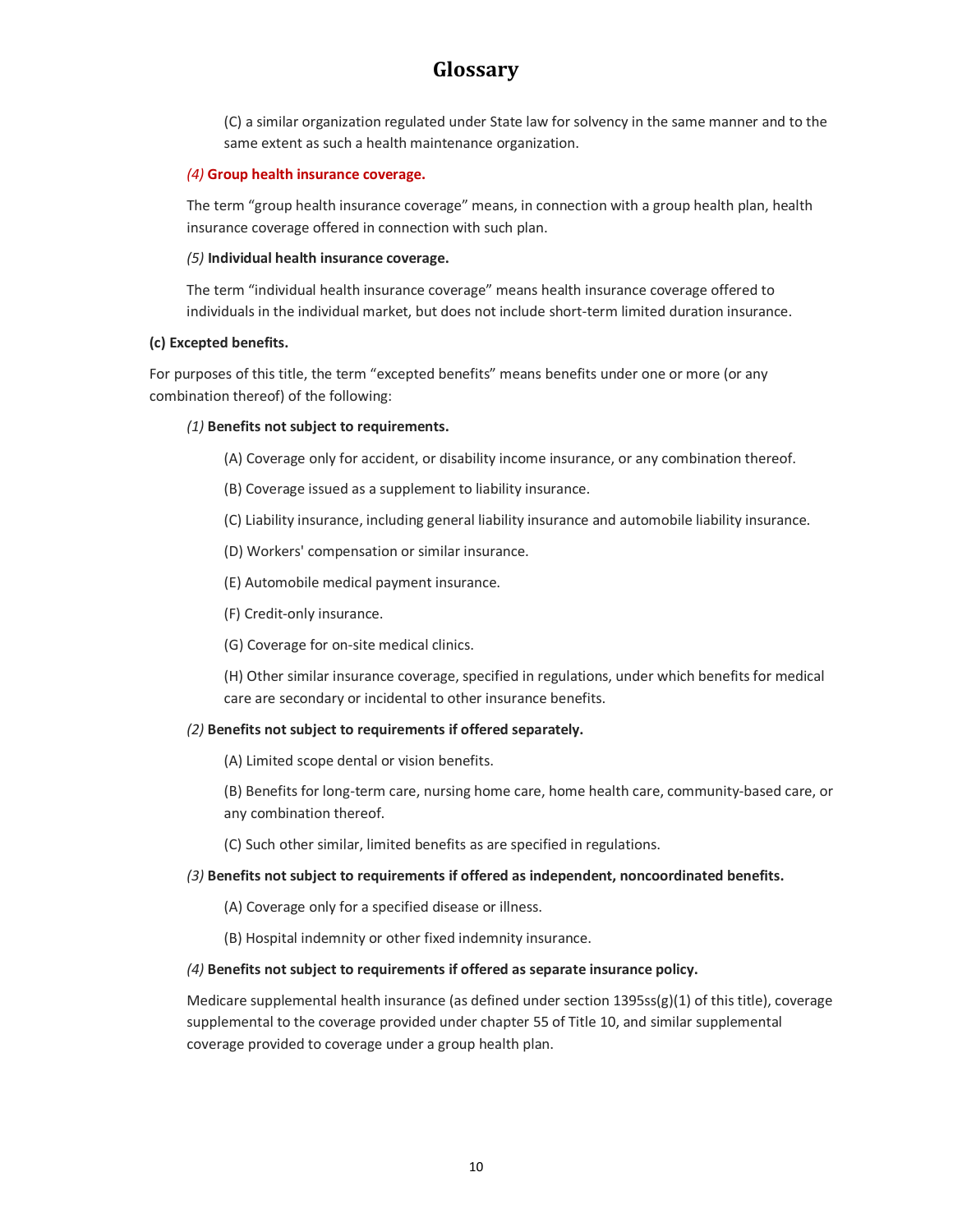(C) a similar organization regulated under State law for solvency in the same manner and to the same extent as such a health maintenance organization.

#### *(4)* **Group health insurance coverage.**

The term "group health insurance coverage" means, in connection with a group health plan, health insurance coverage offered in connection with such plan.

#### *(5)* **Individual health insurance coverage.**

The term "individual health insurance coverage" means health insurance coverage offered to individuals in the individual market, but does not include short-term limited duration insurance.

#### **(c) Excepted benefits.**

For purposes of this title, the term "excepted benefits" means benefits under one or more (or any combination thereof) of the following:

#### *(1)* **Benefits not subject to requirements.**

- (A) Coverage only for accident, or disability income insurance, or any combination thereof.
- (B) Coverage issued as a supplement to liability insurance.
- (C) Liability insurance, including general liability insurance and automobile liability insurance.
- (D) Workers' compensation or similar insurance.
- (E) Automobile medical payment insurance.
- (F) Credit-only insurance.
- (G) Coverage for on-site medical clinics.

(H) Other similar insurance coverage, specified in regulations, under which benefits for medical care are secondary or incidental to other insurance benefits.

#### *(2)* **Benefits not subject to requirements if offered separately.**

(A) Limited scope dental or vision benefits.

(B) Benefits for long-term care, nursing home care, home health care, community-based care, or any combination thereof.

(C) Such other similar, limited benefits as are specified in regulations.

#### *(3)* **Benefits not subject to requirements if offered as independent, noncoordinated benefits.**

(A) Coverage only for a specified disease or illness.

(B) Hospital indemnity or other fixed indemnity insurance.

#### *(4)* **Benefits not subject to requirements if offered as separate insurance policy.**

Medicare supplemental health insurance (as defined under section  $1395ss(g)(1)$  of this title), coverage supplemental to the coverage provided under chapter 55 of Title 10, and similar supplemental coverage provided to coverage under a group health plan.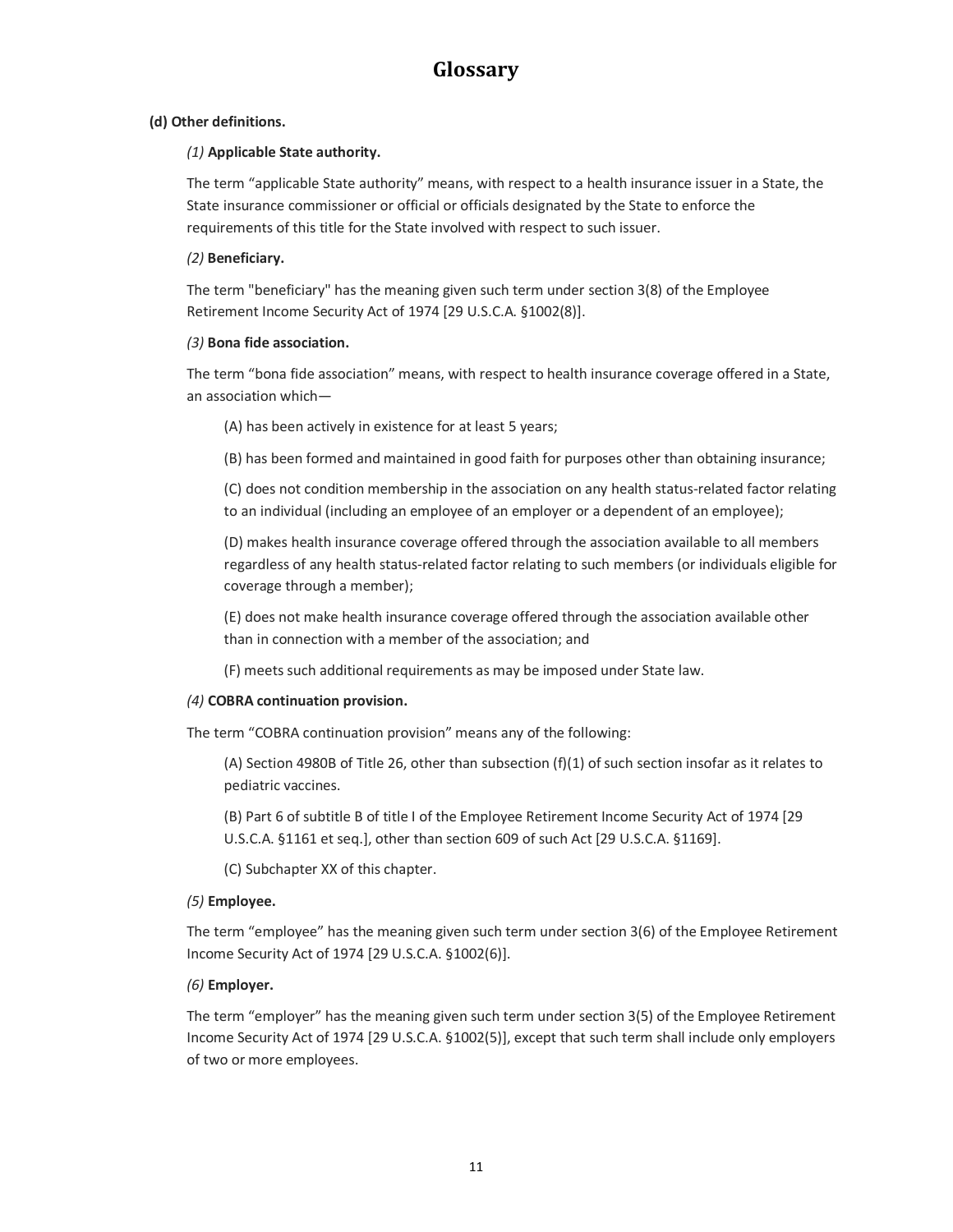#### **(d) Other definitions.**

#### *(1)* **Applicable State authority.**

The term "applicable State authority" means, with respect to a health insurance issuer in a State, the State insurance commissioner or official or officials designated by the State to enforce the requirements of this title for the State involved with respect to such issuer.

#### *(2)* **Beneficiary.**

The term "beneficiary" has the meaning given such term under section 3(8) of the Employee Retirement Income Security Act of 1974 [29 U.S.C.A. §1002(8)].

#### *(3)* **Bona fide association.**

The term "bona fide association" means, with respect to health insurance coverage offered in a State, an association which—

(A) has been actively in existence for at least 5 years;

(B) has been formed and maintained in good faith for purposes other than obtaining insurance;

(C) does not condition membership in the association on any health status-related factor relating to an individual (including an employee of an employer or a dependent of an employee);

(D) makes health insurance coverage offered through the association available to all members regardless of any health status-related factor relating to such members (or individuals eligible for coverage through a member);

(E) does not make health insurance coverage offered through the association available other than in connection with a member of the association; and

(F) meets such additional requirements as may be imposed under State law.

#### *(4)* **COBRA continuation provision.**

The term "COBRA continuation provision" means any of the following:

(A) Section 4980B of Title 26, other than subsection  $(f)(1)$  of such section insofar as it relates to pediatric vaccines.

(B) Part 6 of subtitle B of title I of the Employee Retirement Income Security Act of 1974 [29 U.S.C.A. §1161 et seq.], other than section 609 of such Act [29 U.S.C.A. §1169].

(C) Subchapter XX of this chapter.

#### *(5)* **Employee.**

The term "employee" has the meaning given such term under section 3(6) of the Employee Retirement Income Security Act of 1974 [29 U.S.C.A. §1002(6)].

#### *(6)* **Employer.**

The term "employer" has the meaning given such term under section 3(5) of the Employee Retirement Income Security Act of 1974 [29 U.S.C.A. §1002(5)], except that such term shall include only employers of two or more employees.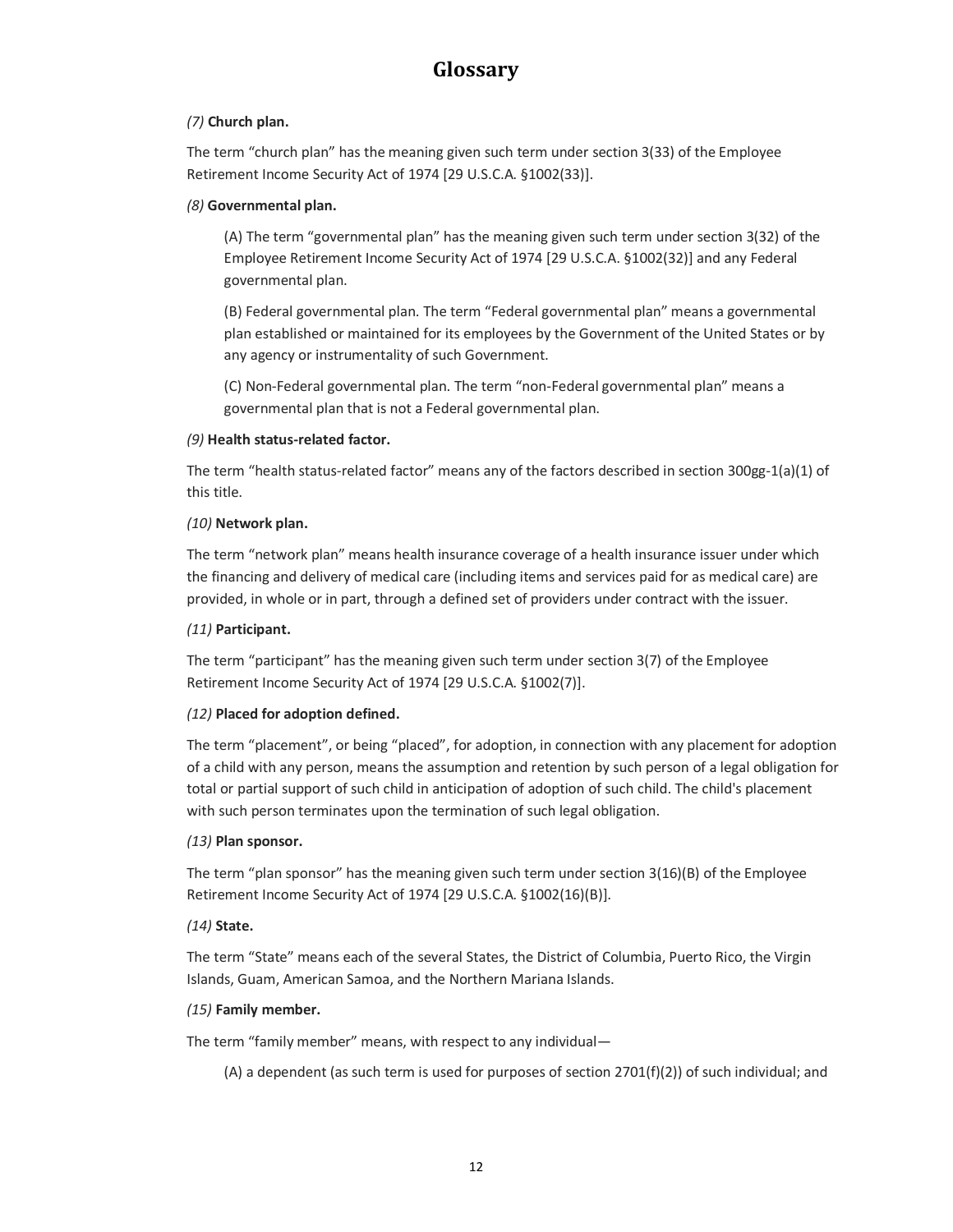#### *(7)* **Church plan.**

The term "church plan" has the meaning given such term under section 3(33) of the Employee Retirement Income Security Act of 1974 [29 U.S.C.A. §1002(33)].

#### *(8)* **Governmental plan.**

(A) The term "governmental plan" has the meaning given such term under section 3(32) of the Employee Retirement Income Security Act of 1974 [29 U.S.C.A. §1002(32)] and any Federal governmental plan.

(B) Federal governmental plan. The term "Federal governmental plan" means a governmental plan established or maintained for its employees by the Government of the United States or by any agency or instrumentality of such Government.

(C) Non-Federal governmental plan. The term "non-Federal governmental plan" means a governmental plan that is not a Federal governmental plan.

#### *(9)* **Health status-related factor.**

The term "health status-related factor" means any of the factors described in section 300gg-1(a)(1) of this title.

#### *(10)* **Network plan.**

The term "network plan" means health insurance coverage of a health insurance issuer under which the financing and delivery of medical care (including items and services paid for as medical care) are provided, in whole or in part, through a defined set of providers under contract with the issuer.

#### *(11)* **Participant.**

The term "participant" has the meaning given such term under section 3(7) of the Employee Retirement Income Security Act of 1974 [29 U.S.C.A. §1002(7)].

#### *(12)* **Placed for adoption defined.**

The term "placement", or being "placed", for adoption, in connection with any placement for adoption of a child with any person, means the assumption and retention by such person of a legal obligation for total or partial support of such child in anticipation of adoption of such child. The child's placement with such person terminates upon the termination of such legal obligation.

#### *(13)* **Plan sponsor.**

The term "plan sponsor" has the meaning given such term under section 3(16)(B) of the Employee Retirement Income Security Act of 1974 [29 U.S.C.A. §1002(16)(B)].

#### *(14)* **State.**

The term "State" means each of the several States, the District of Columbia, Puerto Rico, the Virgin Islands, Guam, American Samoa, and the Northern Mariana Islands.

#### *(15)* **Family member.**

The term "family member" means, with respect to any individual—

(A) a dependent (as such term is used for purposes of section  $2701(f)(2)$ ) of such individual; and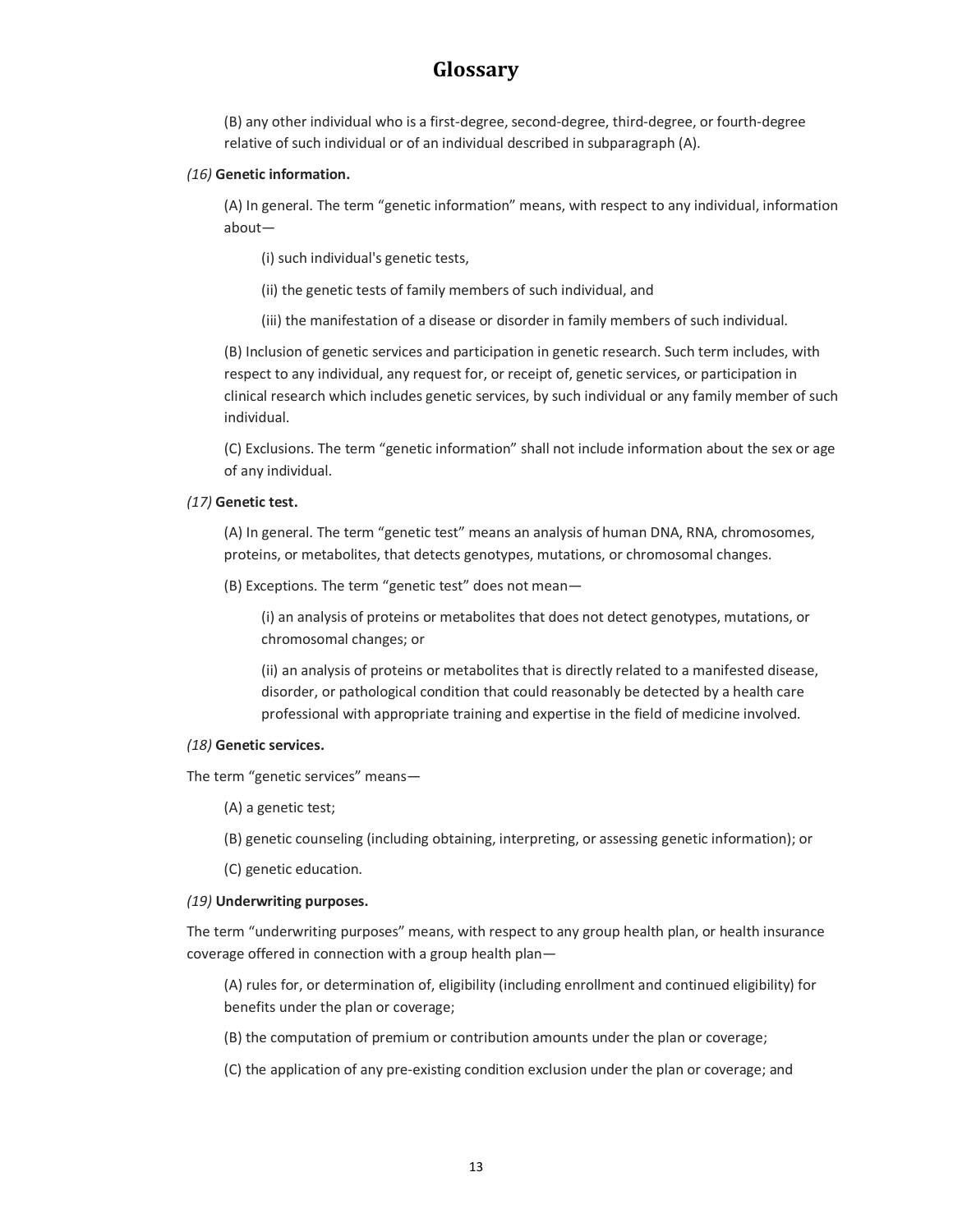(B) any other individual who is a first-degree, second-degree, third-degree, or fourth-degree relative of such individual or of an individual described in subparagraph (A).

#### *(16)* **Genetic information.**

(A) In general. The term "genetic information" means, with respect to any individual, information about—

(i) such individual's genetic tests,

(ii) the genetic tests of family members of such individual, and

(iii) the manifestation of a disease or disorder in family members of such individual.

(B) Inclusion of genetic services and participation in genetic research. Such term includes, with respect to any individual, any request for, or receipt of, genetic services, or participation in clinical research which includes genetic services, by such individual or any family member of such individual.

(C) Exclusions. The term "genetic information" shall not include information about the sex or age of any individual.

#### *(17)* **Genetic test.**

(A) In general. The term "genetic test" means an analysis of human DNA, RNA, chromosomes, proteins, or metabolites, that detects genotypes, mutations, or chromosomal changes.

(B) Exceptions. The term "genetic test" does not mean—

(i) an analysis of proteins or metabolites that does not detect genotypes, mutations, or chromosomal changes; or

(ii) an analysis of proteins or metabolites that is directly related to a manifested disease, disorder, or pathological condition that could reasonably be detected by a health care professional with appropriate training and expertise in the field of medicine involved.

#### *(18)* **Genetic services.**

The term "genetic services" means—

(A) a genetic test;

(B) genetic counseling (including obtaining, interpreting, or assessing genetic information); or

(C) genetic education.

#### *(19)* **Underwriting purposes.**

The term "underwriting purposes" means, with respect to any group health plan, or health insurance coverage offered in connection with a group health plan—

(A) rules for, or determination of, eligibility (including enrollment and continued eligibility) for benefits under the plan or coverage;

- (B) the computation of premium or contribution amounts under the plan or coverage;
- (C) the application of any pre-existing condition exclusion under the plan or coverage; and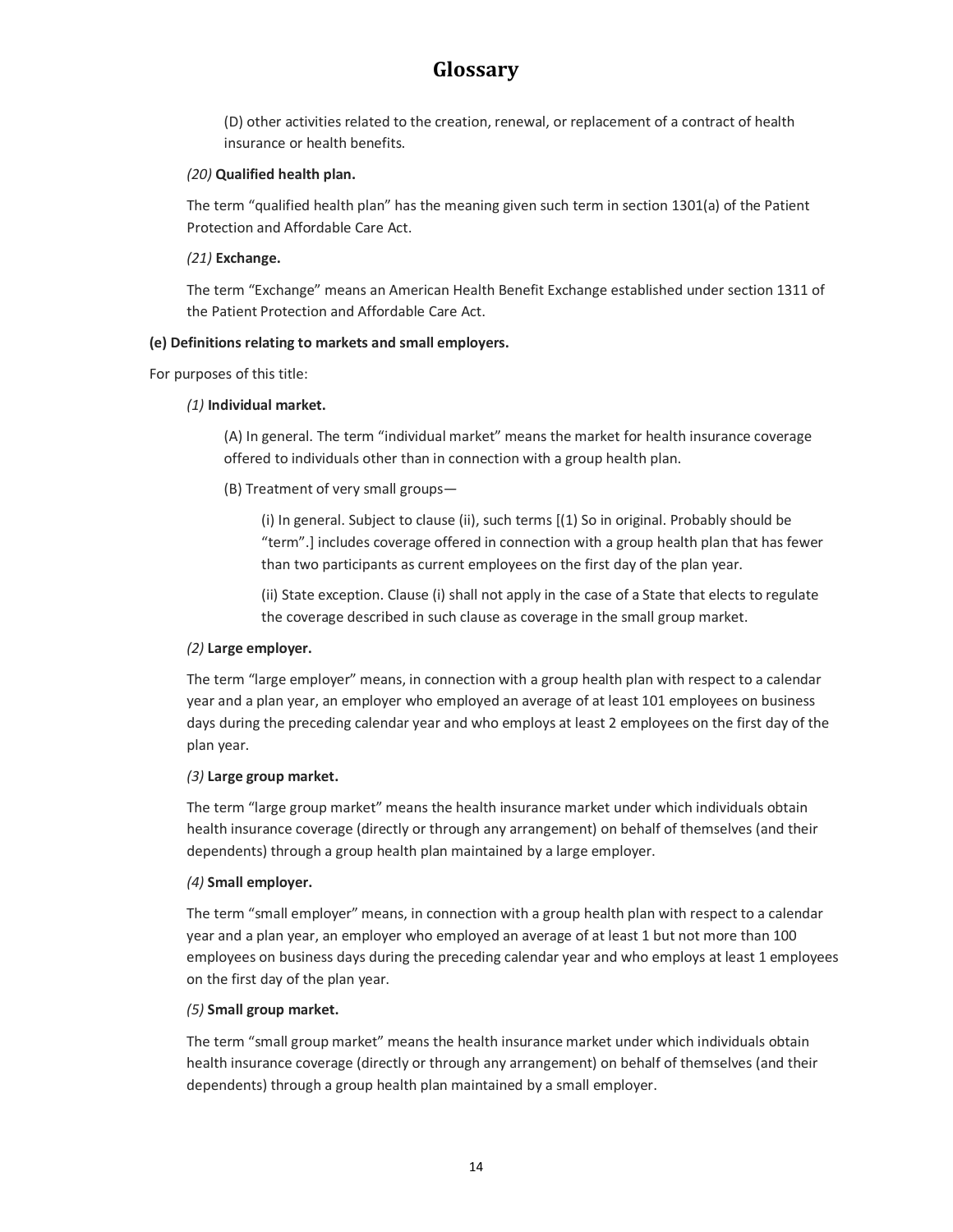(D) other activities related to the creation, renewal, or replacement of a contract of health insurance or health benefits.

#### *(20)* **Qualified health plan.**

The term "qualified health plan" has the meaning given such term in section 1301(a) of the Patient Protection and Affordable Care Act.

#### *(21)* **Exchange.**

The term "Exchange" means an American Health Benefit Exchange established under section 1311 of the Patient Protection and Affordable Care Act.

#### **(e) Definitions relating to markets and small employers.**

For purposes of this title:

#### *(1)* **Individual market.**

(A) In general. The term "individual market" means the market for health insurance coverage offered to individuals other than in connection with a group health plan.

(B) Treatment of very small groups—

(i) In general. Subject to clause (ii), such terms [(1) So in original. Probably should be "term".] includes coverage offered in connection with a group health plan that has fewer than two participants as current employees on the first day of the plan year.

(ii) State exception. Clause (i) shall not apply in the case of a State that elects to regulate the coverage described in such clause as coverage in the small group market.

#### *(2)* **Large employer.**

The term "large employer" means, in connection with a group health plan with respect to a calendar year and a plan year, an employer who employed an average of at least 101 employees on business days during the preceding calendar year and who employs at least 2 employees on the first day of the plan year.

#### *(3)* **Large group market.**

The term "large group market" means the health insurance market under which individuals obtain health insurance coverage (directly or through any arrangement) on behalf of themselves (and their dependents) through a group health plan maintained by a large employer.

#### *(4)* **Small employer.**

The term "small employer" means, in connection with a group health plan with respect to a calendar year and a plan year, an employer who employed an average of at least 1 but not more than 100 employees on business days during the preceding calendar year and who employs at least 1 employees on the first day of the plan year.

#### *(5)* **Small group market.**

The term "small group market" means the health insurance market under which individuals obtain health insurance coverage (directly or through any arrangement) on behalf of themselves (and their dependents) through a group health plan maintained by a small employer.